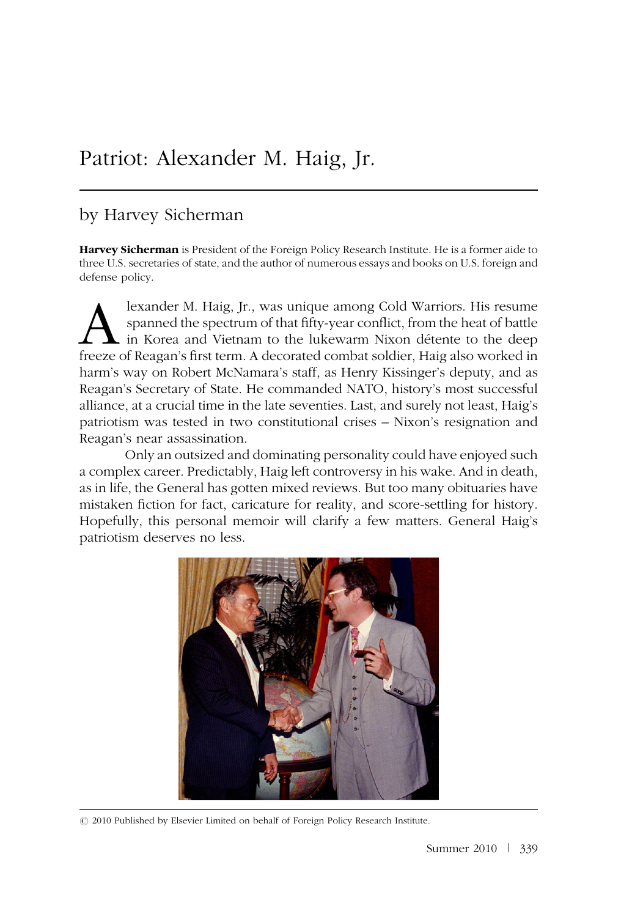# by Harvey Sicherman

Harvey Sicherman is President of the Foreign Policy Research Institute. He is a former aide to three U.S. secretaries of state, and the author of numerous essays and books on U.S. foreign and defense policy.

exander M. Haig, Jr., was unique among Cold Warriors. His resume spanned the spectrum of that fifty-year conflict, from the heat of battle in Korea and Vietnam to the lukewarm Nixon détente to the deep freeze of Reagan's f spanned the spectrum of that fifty-year conflict, from the heat of battle in Korea and Vietnam to the lukewarm Nixon détente to the deep freeze of Reagan's first term. A decorated combat soldier, Haig also worked in harm's way on Robert McNamara's staff, as Henry Kissinger's deputy, and as Reagan's Secretary of State. He commanded NATO, history's most successful alliance, at a crucial time in the late seventies. Last, and surely not least, Haig's patriotism was tested in two constitutional crises – Nixon's resignation and Reagan's near assassination.

Only an outsized and dominating personality could have enjoyed such a complex career. Predictably, Haig left controversy in his wake. And in death, as in life, the General has gotten mixed reviews. But too many obituaries have mistaken fiction for fact, caricature for reality, and score-settling for history. Hopefully, this personal memoir will clarify a few matters. General Haig's patriotism deserves no less.



 $\circled{c}$  2010 Published by Elsevier Limited on behalf of Foreign Policy Research Institute.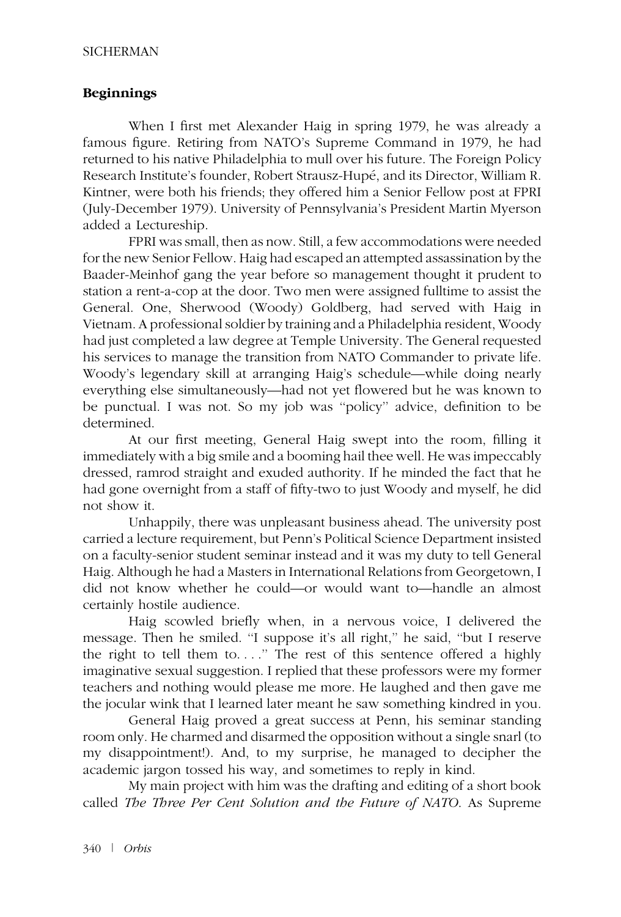# Beginnings

When I first met Alexander Haig in spring 1979, he was already a famous figure. Retiring from NATO's Supreme Command in 1979, he had returned to his native Philadelphia to mull over his future. The Foreign Policy Research Institute's founder, Robert Strausz-Hupé, and its Director, William R. Kintner, were both his friends; they offered him a Senior Fellow post at FPRI (July-December 1979). University of Pennsylvania's President Martin Myerson added a Lectureship.

FPRI was small, then as now. Still, a few accommodations were needed for the new Senior Fellow. Haig had escaped an attempted assassination by the Baader-Meinhof gang the year before so management thought it prudent to station a rent-a-cop at the door. Two men were assigned fulltime to assist the General. One, Sherwood (Woody) Goldberg, had served with Haig in Vietnam. A professional soldier by training and a Philadelphia resident, Woody had just completed a law degree at Temple University. The General requested his services to manage the transition from NATO Commander to private life. Woody's legendary skill at arranging Haig's schedule—while doing nearly everything else simultaneously—had not yet flowered but he was known to be punctual. I was not. So my job was ''policy'' advice, definition to be determined.

At our first meeting, General Haig swept into the room, filling it immediately with a big smile and a booming hail thee well. He was impeccably dressed, ramrod straight and exuded authority. If he minded the fact that he had gone overnight from a staff of fifty-two to just Woody and myself, he did not show it.

Unhappily, there was unpleasant business ahead. The university post carried a lecture requirement, but Penn's Political Science Department insisted on a faculty-senior student seminar instead and it was my duty to tell General Haig. Although he had a Masters in International Relations from Georgetown, I did not know whether he could—or would want to—handle an almost certainly hostile audience.

Haig scowled briefly when, in a nervous voice, I delivered the message. Then he smiled. ''I suppose it's all right,'' he said, ''but I reserve the right to tell them to. . . .'' The rest of this sentence offered a highly imaginative sexual suggestion. I replied that these professors were my former teachers and nothing would please me more. He laughed and then gave me the jocular wink that I learned later meant he saw something kindred in you.

General Haig proved a great success at Penn, his seminar standing room only. He charmed and disarmed the opposition without a single snarl (to my disappointment!). And, to my surprise, he managed to decipher the academic jargon tossed his way, and sometimes to reply in kind.

My main project with him was the drafting and editing of a short book called The Three Per Cent Solution and the Future of NATO. As Supreme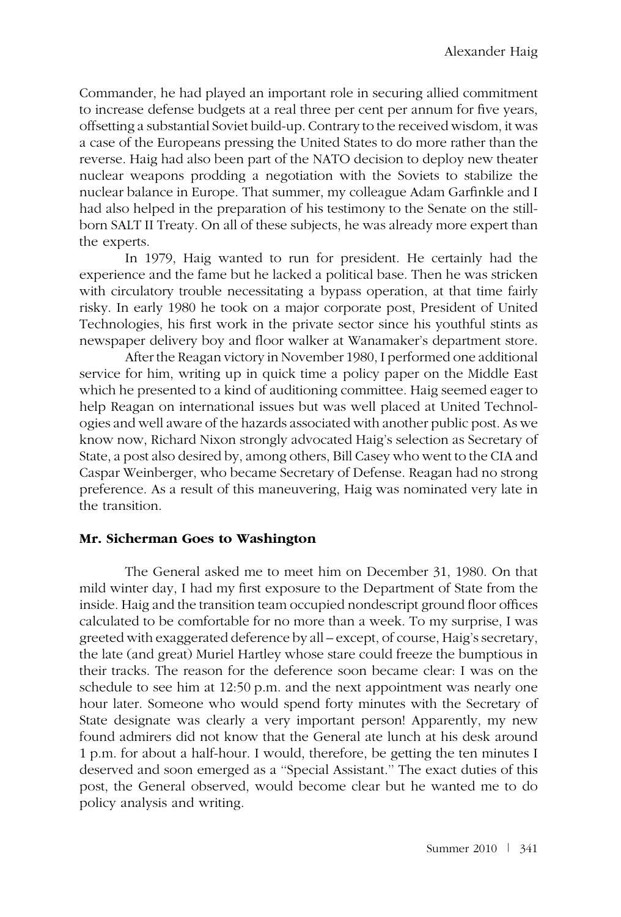Commander, he had played an important role in securing allied commitment to increase defense budgets at a real three per cent per annum for five years, offsetting a substantial Soviet build-up. Contrary to the received wisdom, it was a case of the Europeans pressing the United States to do more rather than the reverse. Haig had also been part of the NATO decision to deploy new theater nuclear weapons prodding a negotiation with the Soviets to stabilize the nuclear balance in Europe. That summer, my colleague Adam Garfinkle and I had also helped in the preparation of his testimony to the Senate on the stillborn SALT II Treaty. On all of these subjects, he was already more expert than the experts.

In 1979, Haig wanted to run for president. He certainly had the experience and the fame but he lacked a political base. Then he was stricken with circulatory trouble necessitating a bypass operation, at that time fairly risky. In early 1980 he took on a major corporate post, President of United Technologies, his first work in the private sector since his youthful stints as newspaper delivery boy and floor walker at Wanamaker's department store.

After the Reagan victory in November 1980, I performed one additional service for him, writing up in quick time a policy paper on the Middle East which he presented to a kind of auditioning committee. Haig seemed eager to help Reagan on international issues but was well placed at United Technologies and well aware of the hazards associated with another public post. As we know now, Richard Nixon strongly advocated Haig's selection as Secretary of State, a post also desired by, among others, Bill Casey who went to the CIA and Caspar Weinberger, who became Secretary of Defense. Reagan had no strong preference. As a result of this maneuvering, Haig was nominated very late in the transition.

#### Mr. Sicherman Goes to Washington

The General asked me to meet him on December 31, 1980. On that mild winter day, I had my first exposure to the Department of State from the inside. Haig and the transition team occupied nondescript ground floor offices calculated to be comfortable for no more than a week. To my surprise, I was greeted with exaggerated deference by all – except, of course, Haig's secretary, the late (and great) Muriel Hartley whose stare could freeze the bumptious in their tracks. The reason for the deference soon became clear: I was on the schedule to see him at 12:50 p.m. and the next appointment was nearly one hour later. Someone who would spend forty minutes with the Secretary of State designate was clearly a very important person! Apparently, my new found admirers did not know that the General ate lunch at his desk around 1 p.m. for about a half-hour. I would, therefore, be getting the ten minutes I deserved and soon emerged as a ''Special Assistant.'' The exact duties of this post, the General observed, would become clear but he wanted me to do policy analysis and writing.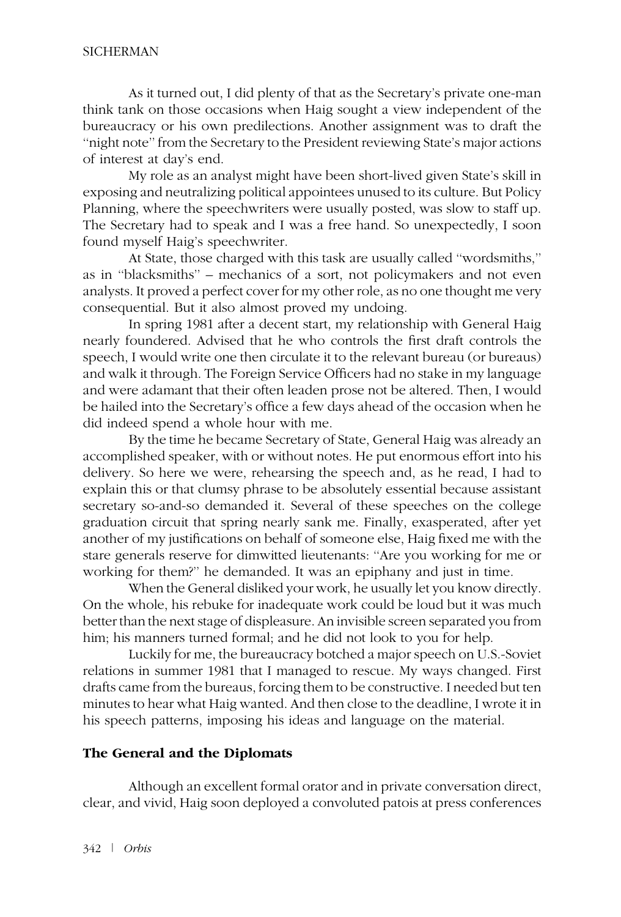As it turned out, I did plenty of that as the Secretary's private one-man think tank on those occasions when Haig sought a view independent of the bureaucracy or his own predilections. Another assignment was to draft the "night note" from the Secretary to the President reviewing State's major actions of interest at day's end.

My role as an analyst might have been short-lived given State's skill in exposing and neutralizing political appointees unused to its culture. But Policy Planning, where the speechwriters were usually posted, was slow to staff up. The Secretary had to speak and I was a free hand. So unexpectedly, I soon found myself Haig's speechwriter.

At State, those charged with this task are usually called ''wordsmiths,'' as in ''blacksmiths'' – mechanics of a sort, not policymakers and not even analysts. It proved a perfect cover for my other role, as no one thought me very consequential. But it also almost proved my undoing.

In spring 1981 after a decent start, my relationship with General Haig nearly foundered. Advised that he who controls the first draft controls the speech, I would write one then circulate it to the relevant bureau (or bureaus) and walk it through. The Foreign Service Officers had no stake in my language and were adamant that their often leaden prose not be altered. Then, I would be hailed into the Secretary's office a few days ahead of the occasion when he did indeed spend a whole hour with me.

By the time he became Secretary of State, General Haig was already an accomplished speaker, with or without notes. He put enormous effort into his delivery. So here we were, rehearsing the speech and, as he read, I had to explain this or that clumsy phrase to be absolutely essential because assistant secretary so-and-so demanded it. Several of these speeches on the college graduation circuit that spring nearly sank me. Finally, exasperated, after yet another of my justifications on behalf of someone else, Haig fixed me with the stare generals reserve for dimwitted lieutenants: ''Are you working for me or working for them?'' he demanded. It was an epiphany and just in time.

When the General disliked your work, he usually let you know directly. On the whole, his rebuke for inadequate work could be loud but it was much better than the next stage of displeasure. An invisible screen separated you from him; his manners turned formal; and he did not look to you for help.

Luckily for me, the bureaucracy botched a major speech on U.S.-Soviet relations in summer 1981 that I managed to rescue. My ways changed. First drafts came from the bureaus, forcing them to be constructive. I needed but ten minutes to hear what Haig wanted. And then close to the deadline, I wrote it in his speech patterns, imposing his ideas and language on the material.

#### The General and the Diplomats

Although an excellent formal orator and in private conversation direct, clear, and vivid, Haig soon deployed a convoluted patois at press conferences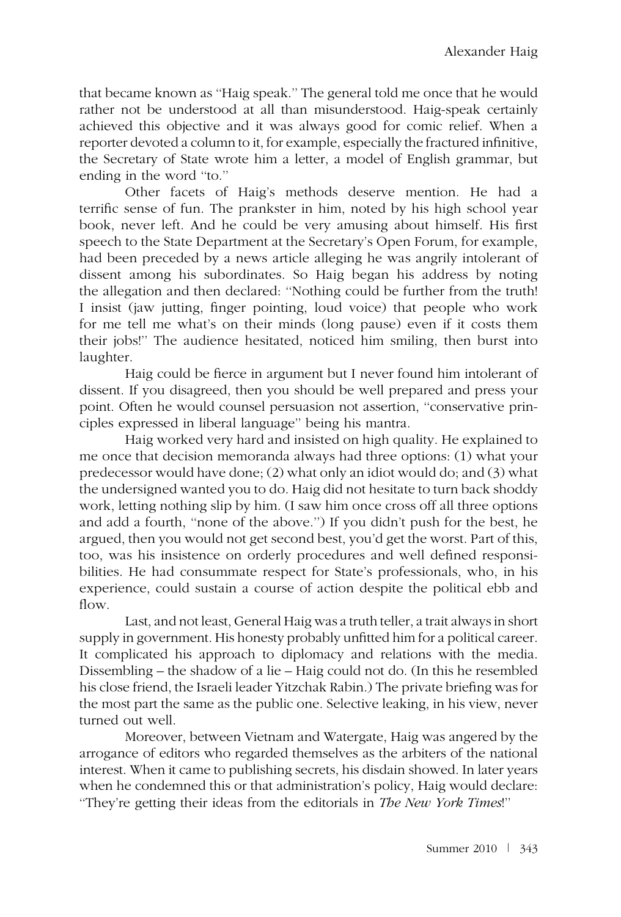that became known as ''Haig speak.'' The general told me once that he would rather not be understood at all than misunderstood. Haig-speak certainly achieved this objective and it was always good for comic relief. When a reporter devoted a column to it, for example, especially the fractured infinitive, the Secretary of State wrote him a letter, a model of English grammar, but ending in the word ''to.''

Other facets of Haig's methods deserve mention. He had a terrific sense of fun. The prankster in him, noted by his high school year book, never left. And he could be very amusing about himself. His first speech to the State Department at the Secretary's Open Forum, for example, had been preceded by a news article alleging he was angrily intolerant of dissent among his subordinates. So Haig began his address by noting the allegation and then declared: ''Nothing could be further from the truth! I insist (jaw jutting, finger pointing, loud voice) that people who work for me tell me what's on their minds (long pause) even if it costs them their jobs!'' The audience hesitated, noticed him smiling, then burst into laughter.

Haig could be fierce in argument but I never found him intolerant of dissent. If you disagreed, then you should be well prepared and press your point. Often he would counsel persuasion not assertion, ''conservative principles expressed in liberal language'' being his mantra.

Haig worked very hard and insisted on high quality. He explained to me once that decision memoranda always had three options: (1) what your predecessor would have done; (2) what only an idiot would do; and (3) what the undersigned wanted you to do. Haig did not hesitate to turn back shoddy work, letting nothing slip by him. (I saw him once cross off all three options and add a fourth, ''none of the above.'') If you didn't push for the best, he argued, then you would not get second best, you'd get the worst. Part of this, too, was his insistence on orderly procedures and well defined responsibilities. He had consummate respect for State's professionals, who, in his experience, could sustain a course of action despite the political ebb and flow.

Last, and not least, General Haig was a truth teller, a trait always in short supply in government. His honesty probably unfitted him for a political career. It complicated his approach to diplomacy and relations with the media. Dissembling – the shadow of a lie – Haig could not do. (In this he resembled his close friend, the Israeli leader Yitzchak Rabin.) The private briefing was for the most part the same as the public one. Selective leaking, in his view, never turned out well.

Moreover, between Vietnam and Watergate, Haig was angered by the arrogance of editors who regarded themselves as the arbiters of the national interest. When it came to publishing secrets, his disdain showed. In later years when he condemned this or that administration's policy, Haig would declare: ''They're getting their ideas from the editorials in The New York Times!''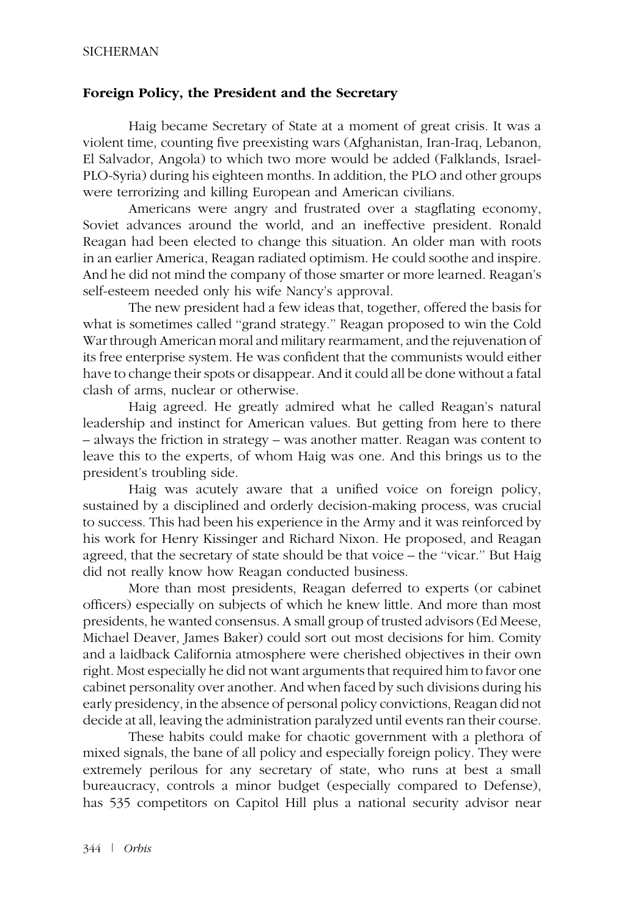### Foreign Policy, the President and the Secretary

Haig became Secretary of State at a moment of great crisis. It was a violent time, counting five preexisting wars (Afghanistan, Iran-Iraq, Lebanon, El Salvador, Angola) to which two more would be added (Falklands, Israel-PLO-Syria) during his eighteen months. In addition, the PLO and other groups were terrorizing and killing European and American civilians.

Americans were angry and frustrated over a stagflating economy, Soviet advances around the world, and an ineffective president. Ronald Reagan had been elected to change this situation. An older man with roots in an earlier America, Reagan radiated optimism. He could soothe and inspire. And he did not mind the company of those smarter or more learned. Reagan's self-esteem needed only his wife Nancy's approval.

The new president had a few ideas that, together, offered the basis for what is sometimes called ''grand strategy.'' Reagan proposed to win the Cold War through American moral and military rearmament, and the rejuvenation of its free enterprise system. He was confident that the communists would either have to change their spots or disappear. And it could all be done without a fatal clash of arms, nuclear or otherwise.

Haig agreed. He greatly admired what he called Reagan's natural leadership and instinct for American values. But getting from here to there – always the friction in strategy – was another matter. Reagan was content to leave this to the experts, of whom Haig was one. And this brings us to the president's troubling side.

Haig was acutely aware that a unified voice on foreign policy, sustained by a disciplined and orderly decision-making process, was crucial to success. This had been his experience in the Army and it was reinforced by his work for Henry Kissinger and Richard Nixon. He proposed, and Reagan agreed, that the secretary of state should be that voice – the ''vicar.'' But Haig did not really know how Reagan conducted business.

More than most presidents, Reagan deferred to experts (or cabinet officers) especially on subjects of which he knew little. And more than most presidents, he wanted consensus. A small group of trusted advisors (Ed Meese, Michael Deaver, James Baker) could sort out most decisions for him. Comity and a laidback California atmosphere were cherished objectives in their own right. Most especially he did not want arguments that required him to favor one cabinet personality over another. And when faced by such divisions during his early presidency, in the absence of personal policy convictions, Reagan did not decide at all, leaving the administration paralyzed until events ran their course.

These habits could make for chaotic government with a plethora of mixed signals, the bane of all policy and especially foreign policy. They were extremely perilous for any secretary of state, who runs at best a small bureaucracy, controls a minor budget (especially compared to Defense), has 535 competitors on Capitol Hill plus a national security advisor near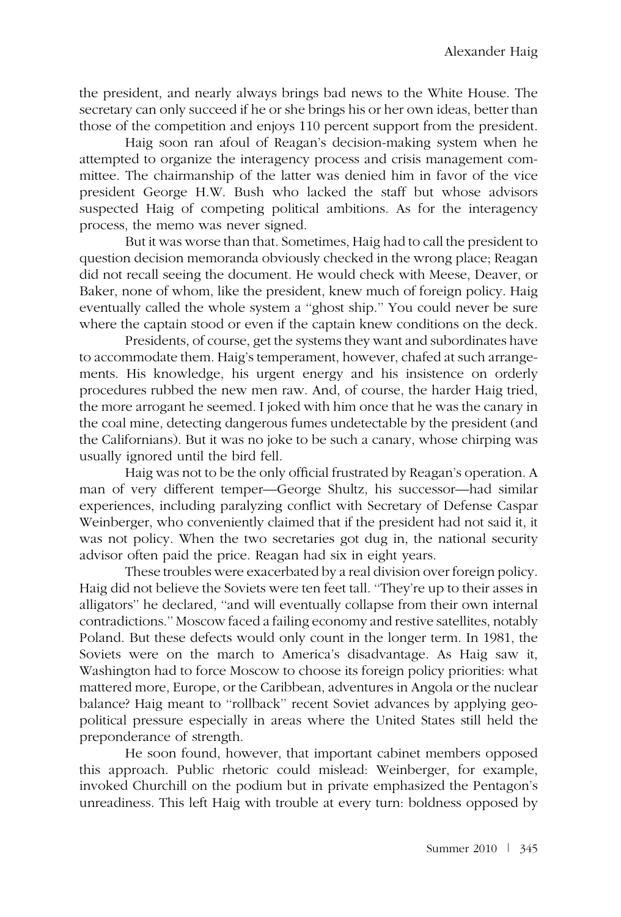the president, and nearly always brings bad news to the White House. The secretary can only succeed if he or she brings his or her own ideas, better than those of the competition and enjoys 110 percent support from the president.

Haig soon ran afoul of Reagan's decision-making system when he attempted to organize the interagency process and crisis management committee. The chairmanship of the latter was denied him in favor of the vice president George H.W. Bush who lacked the staff but whose advisors suspected Haig of competing political ambitions. As for the interagency process, the memo was never signed.

But it was worse than that. Sometimes, Haig had to call the president to question decision memoranda obviously checked in the wrong place; Reagan did not recall seeing the document. He would check with Meese, Deaver, or Baker, none of whom, like the president, knew much of foreign policy. Haig eventually called the whole system a ''ghost ship.'' You could never be sure where the captain stood or even if the captain knew conditions on the deck.

Presidents, of course, get the systems they want and subordinates have to accommodate them. Haig's temperament, however, chafed at such arrangements. His knowledge, his urgent energy and his insistence on orderly procedures rubbed the new men raw. And, of course, the harder Haig tried, the more arrogant he seemed. I joked with him once that he was the canary in the coal mine, detecting dangerous fumes undetectable by the president (and the Californians). But it was no joke to be such a canary, whose chirping was usually ignored until the bird fell.

Haig was not to be the only official frustrated by Reagan's operation. A man of very different temper—George Shultz, his successor—had similar experiences, including paralyzing conflict with Secretary of Defense Caspar Weinberger, who conveniently claimed that if the president had not said it, it was not policy. When the two secretaries got dug in, the national security advisor often paid the price. Reagan had six in eight years.

These troubles were exacerbated by a real division over foreign policy. Haig did not believe the Soviets were ten feet tall. ''They're up to their asses in alligators'' he declared, ''and will eventually collapse from their own internal contradictions.'' Moscow faced a failing economy and restive satellites, notably Poland. But these defects would only count in the longer term. In 1981, the Soviets were on the march to America's disadvantage. As Haig saw it, Washington had to force Moscow to choose its foreign policy priorities: what mattered more, Europe, or the Caribbean, adventures in Angola or the nuclear balance? Haig meant to ''rollback'' recent Soviet advances by applying geopolitical pressure especially in areas where the United States still held the preponderance of strength.

He soon found, however, that important cabinet members opposed this approach. Public rhetoric could mislead: Weinberger, for example, invoked Churchill on the podium but in private emphasized the Pentagon's unreadiness. This left Haig with trouble at every turn: boldness opposed by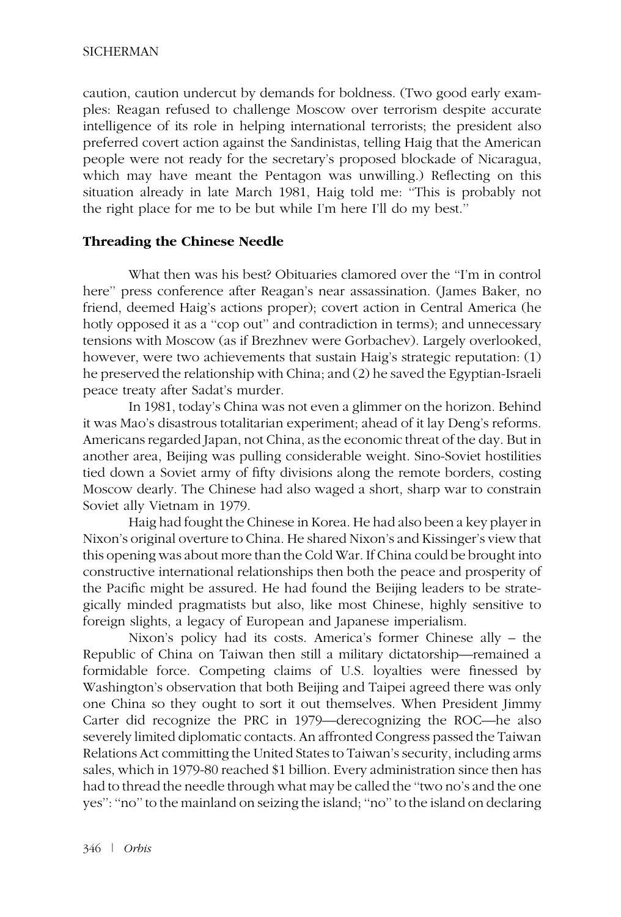caution, caution undercut by demands for boldness. (Two good early examples: Reagan refused to challenge Moscow over terrorism despite accurate intelligence of its role in helping international terrorists; the president also preferred covert action against the Sandinistas, telling Haig that the American people were not ready for the secretary's proposed blockade of Nicaragua, which may have meant the Pentagon was unwilling.) Reflecting on this situation already in late March 1981, Haig told me: ''This is probably not the right place for me to be but while I'm here I'll do my best.''

#### Threading the Chinese Needle

What then was his best? Obituaries clamored over the "I'm in control" here'' press conference after Reagan's near assassination. (James Baker, no friend, deemed Haig's actions proper); covert action in Central America (he hotly opposed it as a "cop out" and contradiction in terms); and unnecessary tensions with Moscow (as if Brezhnev were Gorbachev). Largely overlooked, however, were two achievements that sustain Haig's strategic reputation: (1) he preserved the relationship with China; and (2) he saved the Egyptian-Israeli peace treaty after Sadat's murder.

In 1981, today's China was not even a glimmer on the horizon. Behind it was Mao's disastrous totalitarian experiment; ahead of it lay Deng's reforms. Americans regarded Japan, not China, as the economic threat of the day. But in another area, Beijing was pulling considerable weight. Sino-Soviet hostilities tied down a Soviet army of fifty divisions along the remote borders, costing Moscow dearly. The Chinese had also waged a short, sharp war to constrain Soviet ally Vietnam in 1979.

Haig had fought the Chinese in Korea. He had also been a key player in Nixon's original overture to China. He shared Nixon's and Kissinger's view that this opening was about more than the Cold War. If China could be brought into constructive international relationships then both the peace and prosperity of the Pacific might be assured. He had found the Beijing leaders to be strategically minded pragmatists but also, like most Chinese, highly sensitive to foreign slights, a legacy of European and Japanese imperialism.

Nixon's policy had its costs. America's former Chinese ally – the Republic of China on Taiwan then still a military dictatorship—remained a formidable force. Competing claims of U.S. loyalties were finessed by Washington's observation that both Beijing and Taipei agreed there was only one China so they ought to sort it out themselves. When President Jimmy Carter did recognize the PRC in 1979—derecognizing the ROC—he also severely limited diplomatic contacts. An affronted Congress passed the Taiwan Relations Act committing the United States to Taiwan's security, including arms sales, which in 1979-80 reached \$1 billion. Every administration since then has had to thread the needle through what may be called the ''two no's and the one yes'': ''no'' to the mainland on seizing the island; ''no'' to the island on declaring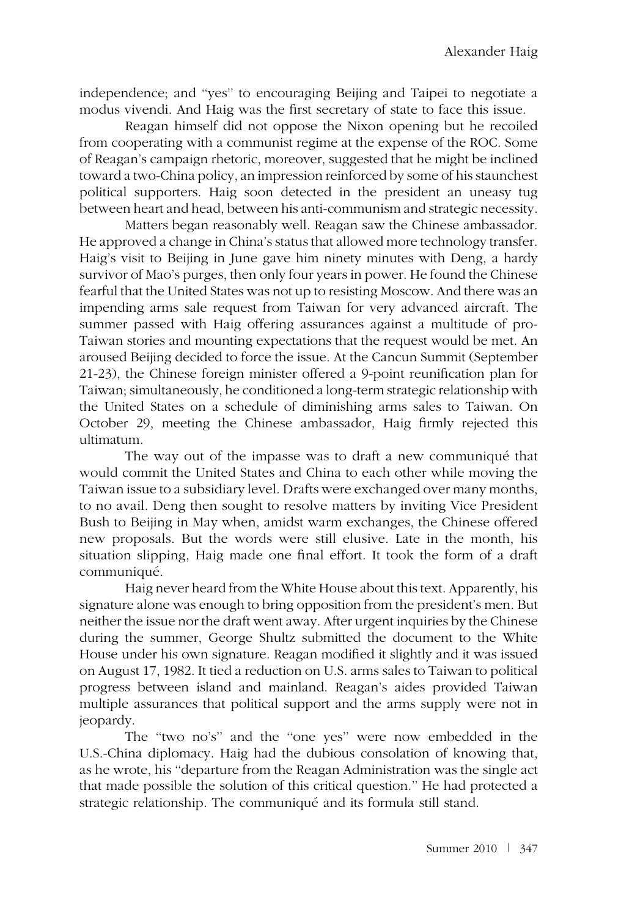independence; and ''yes'' to encouraging Beijing and Taipei to negotiate a modus vivendi. And Haig was the first secretary of state to face this issue.

Reagan himself did not oppose the Nixon opening but he recoiled from cooperating with a communist regime at the expense of the ROC. Some of Reagan's campaign rhetoric, moreover, suggested that he might be inclined toward a two-China policy, an impression reinforced by some of his staunchest political supporters. Haig soon detected in the president an uneasy tug between heart and head, between his anti-communism and strategic necessity.

Matters began reasonably well. Reagan saw the Chinese ambassador. He approved a change in China's status that allowed more technology transfer. Haig's visit to Beijing in June gave him ninety minutes with Deng, a hardy survivor of Mao's purges, then only four years in power. He found the Chinese fearful that the United States was not up to resisting Moscow. And there was an impending arms sale request from Taiwan for very advanced aircraft. The summer passed with Haig offering assurances against a multitude of pro-Taiwan stories and mounting expectations that the request would be met. An aroused Beijing decided to force the issue. At the Cancun Summit (September 21-23), the Chinese foreign minister offered a 9-point reunification plan for Taiwan; simultaneously, he conditioned a long-term strategic relationship with the United States on a schedule of diminishing arms sales to Taiwan. On October 29, meeting the Chinese ambassador, Haig firmly rejected this ultimatum.

The way out of the impasse was to draft a new communiqué that would commit the United States and China to each other while moving the Taiwan issue to a subsidiary level. Drafts were exchanged over many months, to no avail. Deng then sought to resolve matters by inviting Vice President Bush to Beijing in May when, amidst warm exchanges, the Chinese offered new proposals. But the words were still elusive. Late in the month, his situation slipping, Haig made one final effort. It took the form of a draft communiqué.

Haig never heard from the White House about this text. Apparently, his signature alone was enough to bring opposition from the president's men. But neither the issue nor the draft went away. After urgent inquiries by the Chinese during the summer, George Shultz submitted the document to the White House under his own signature. Reagan modified it slightly and it was issued on August 17, 1982. It tied a reduction on U.S. arms sales to Taiwan to political progress between island and mainland. Reagan's aides provided Taiwan multiple assurances that political support and the arms supply were not in jeopardy.

The ''two no's'' and the ''one yes'' were now embedded in the U.S.-China diplomacy. Haig had the dubious consolation of knowing that, as he wrote, his ''departure from the Reagan Administration was the single act that made possible the solution of this critical question.'' He had protected a strategic relationship. The communiqué and its formula still stand.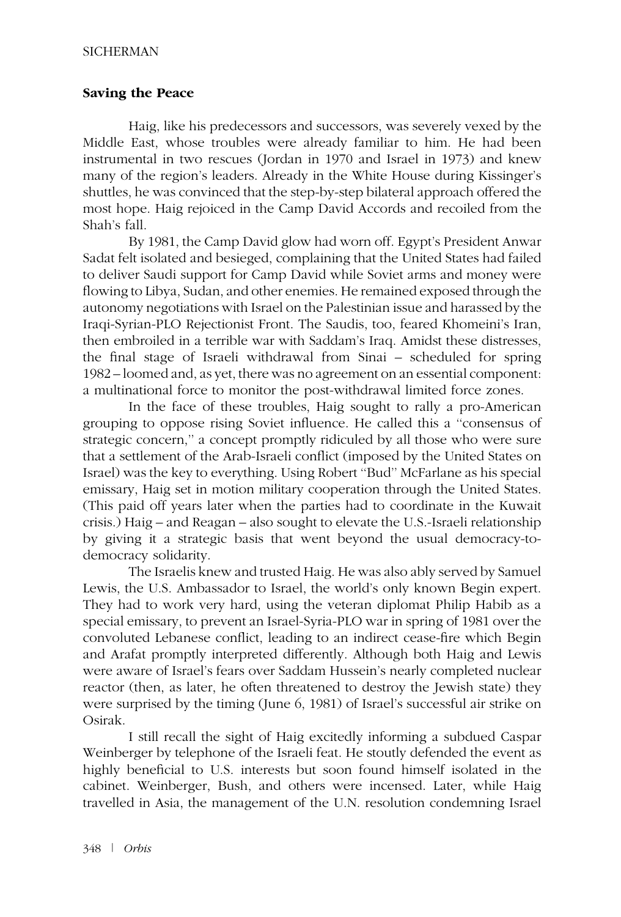# Saving the Peace

Haig, like his predecessors and successors, was severely vexed by the Middle East, whose troubles were already familiar to him. He had been instrumental in two rescues (Jordan in 1970 and Israel in 1973) and knew many of the region's leaders. Already in the White House during Kissinger's shuttles, he was convinced that the step-by-step bilateral approach offered the most hope. Haig rejoiced in the Camp David Accords and recoiled from the Shah's fall.

By 1981, the Camp David glow had worn off. Egypt's President Anwar Sadat felt isolated and besieged, complaining that the United States had failed to deliver Saudi support for Camp David while Soviet arms and money were flowing to Libya, Sudan, and other enemies. He remained exposed through the autonomy negotiations with Israel on the Palestinian issue and harassed by the Iraqi-Syrian-PLO Rejectionist Front. The Saudis, too, feared Khomeini's Iran, then embroiled in a terrible war with Saddam's Iraq. Amidst these distresses, the final stage of Israeli withdrawal from Sinai – scheduled for spring 1982 – loomed and, as yet, there was no agreement on an essential component: a multinational force to monitor the post-withdrawal limited force zones.

In the face of these troubles, Haig sought to rally a pro-American grouping to oppose rising Soviet influence. He called this a ''consensus of strategic concern,'' a concept promptly ridiculed by all those who were sure that a settlement of the Arab-Israeli conflict (imposed by the United States on Israel) was the key to everything. Using Robert ''Bud'' McFarlane as his special emissary, Haig set in motion military cooperation through the United States. (This paid off years later when the parties had to coordinate in the Kuwait crisis.) Haig – and Reagan – also sought to elevate the U.S.-Israeli relationship by giving it a strategic basis that went beyond the usual democracy-todemocracy solidarity.

The Israelis knew and trusted Haig. He was also ably served by Samuel Lewis, the U.S. Ambassador to Israel, the world's only known Begin expert. They had to work very hard, using the veteran diplomat Philip Habib as a special emissary, to prevent an Israel-Syria-PLO war in spring of 1981 over the convoluted Lebanese conflict, leading to an indirect cease-fire which Begin and Arafat promptly interpreted differently. Although both Haig and Lewis were aware of Israel's fears over Saddam Hussein's nearly completed nuclear reactor (then, as later, he often threatened to destroy the Jewish state) they were surprised by the timing (June 6, 1981) of Israel's successful air strike on Osirak.

I still recall the sight of Haig excitedly informing a subdued Caspar Weinberger by telephone of the Israeli feat. He stoutly defended the event as highly beneficial to U.S. interests but soon found himself isolated in the cabinet. Weinberger, Bush, and others were incensed. Later, while Haig travelled in Asia, the management of the U.N. resolution condemning Israel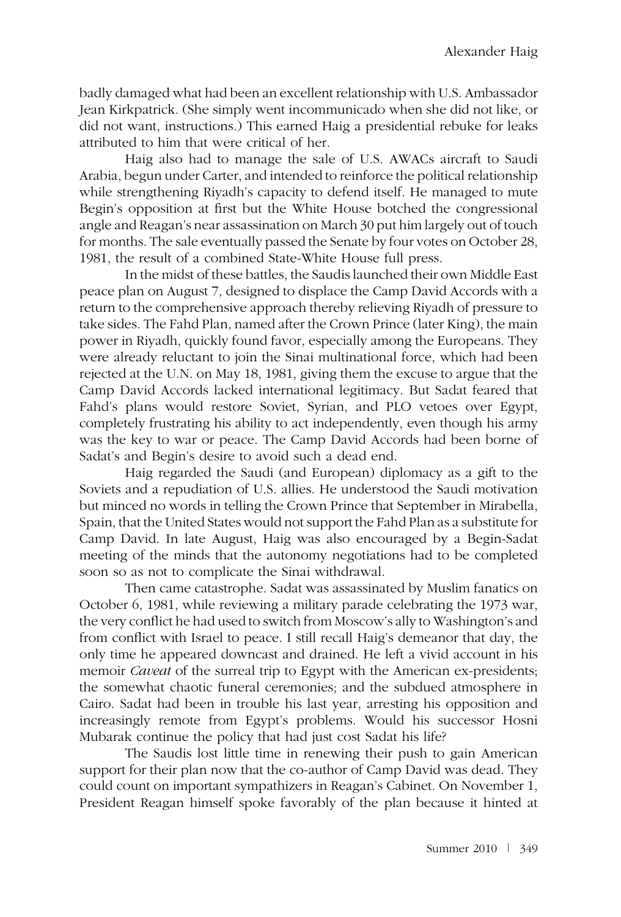badly damaged what had been an excellent relationship with U.S. Ambassador Jean Kirkpatrick. (She simply went incommunicado when she did not like, or did not want, instructions.) This earned Haig a presidential rebuke for leaks attributed to him that were critical of her.

Haig also had to manage the sale of U.S. AWACs aircraft to Saudi Arabia, begun under Carter, and intended to reinforce the political relationship while strengthening Riyadh's capacity to defend itself. He managed to mute Begin's opposition at first but the White House botched the congressional angle and Reagan's near assassination on March 30 put him largely out of touch for months. The sale eventually passed the Senate by four votes on October 28, 1981, the result of a combined State-White House full press.

In the midst of these battles, the Saudis launched their own Middle East peace plan on August 7, designed to displace the Camp David Accords with a return to the comprehensive approach thereby relieving Riyadh of pressure to take sides. The Fahd Plan, named after the Crown Prince (later King), the main power in Riyadh, quickly found favor, especially among the Europeans. They were already reluctant to join the Sinai multinational force, which had been rejected at the U.N. on May 18, 1981, giving them the excuse to argue that the Camp David Accords lacked international legitimacy. But Sadat feared that Fahd's plans would restore Soviet, Syrian, and PLO vetoes over Egypt, completely frustrating his ability to act independently, even though his army was the key to war or peace. The Camp David Accords had been borne of Sadat's and Begin's desire to avoid such a dead end.

Haig regarded the Saudi (and European) diplomacy as a gift to the Soviets and a repudiation of U.S. allies. He understood the Saudi motivation but minced no words in telling the Crown Prince that September in Mirabella, Spain, that the United States would not support the Fahd Plan as a substitute for Camp David. In late August, Haig was also encouraged by a Begin-Sadat meeting of the minds that the autonomy negotiations had to be completed soon so as not to complicate the Sinai withdrawal.

Then came catastrophe. Sadat was assassinated by Muslim fanatics on October 6, 1981, while reviewing a military parade celebrating the 1973 war, the very conflict he had used to switch from Moscow's ally to Washington's and from conflict with Israel to peace. I still recall Haig's demeanor that day, the only time he appeared downcast and drained. He left a vivid account in his memoir *Caveat* of the surreal trip to Egypt with the American ex-presidents; the somewhat chaotic funeral ceremonies; and the subdued atmosphere in Cairo. Sadat had been in trouble his last year, arresting his opposition and increasingly remote from Egypt's problems. Would his successor Hosni Mubarak continue the policy that had just cost Sadat his life?

The Saudis lost little time in renewing their push to gain American support for their plan now that the co-author of Camp David was dead. They could count on important sympathizers in Reagan's Cabinet. On November 1, President Reagan himself spoke favorably of the plan because it hinted at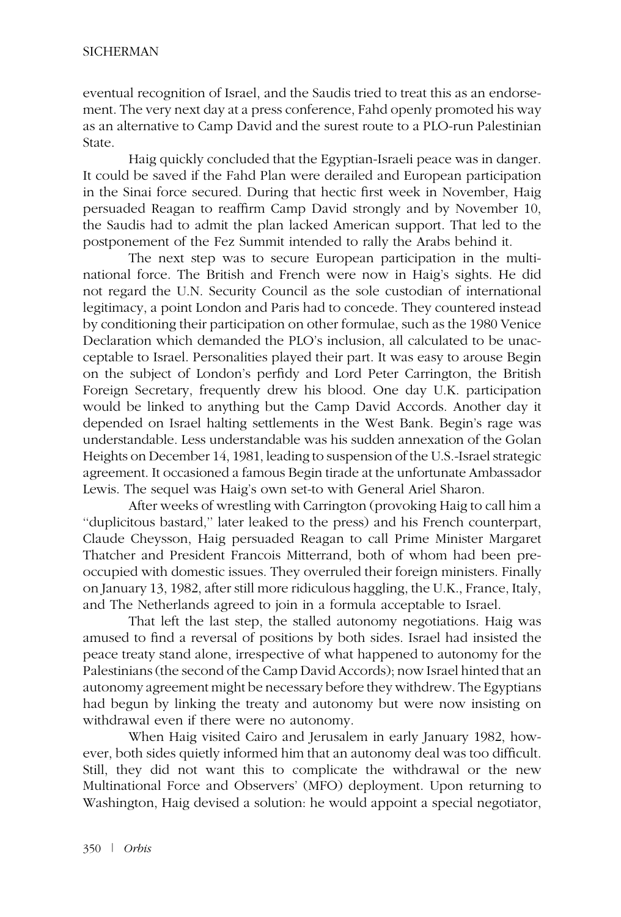eventual recognition of Israel, and the Saudis tried to treat this as an endorsement. The very next day at a press conference, Fahd openly promoted his way as an alternative to Camp David and the surest route to a PLO-run Palestinian State.

Haig quickly concluded that the Egyptian-Israeli peace was in danger. It could be saved if the Fahd Plan were derailed and European participation in the Sinai force secured. During that hectic first week in November, Haig persuaded Reagan to reaffirm Camp David strongly and by November 10, the Saudis had to admit the plan lacked American support. That led to the postponement of the Fez Summit intended to rally the Arabs behind it.

The next step was to secure European participation in the multinational force. The British and French were now in Haig's sights. He did not regard the U.N. Security Council as the sole custodian of international legitimacy, a point London and Paris had to concede. They countered instead by conditioning their participation on other formulae, such as the 1980 Venice Declaration which demanded the PLO's inclusion, all calculated to be unacceptable to Israel. Personalities played their part. It was easy to arouse Begin on the subject of London's perfidy and Lord Peter Carrington, the British Foreign Secretary, frequently drew his blood. One day U.K. participation would be linked to anything but the Camp David Accords. Another day it depended on Israel halting settlements in the West Bank. Begin's rage was understandable. Less understandable was his sudden annexation of the Golan Heights on December 14, 1981, leading to suspension of the U.S.-Israel strategic agreement. It occasioned a famous Begin tirade at the unfortunate Ambassador Lewis. The sequel was Haig's own set-to with General Ariel Sharon.

After weeks of wrestling with Carrington (provoking Haig to call him a ''duplicitous bastard,'' later leaked to the press) and his French counterpart, Claude Cheysson, Haig persuaded Reagan to call Prime Minister Margaret Thatcher and President Francois Mitterrand, both of whom had been preoccupied with domestic issues. They overruled their foreign ministers. Finally on January 13, 1982, after still more ridiculous haggling, the U.K., France, Italy, and The Netherlands agreed to join in a formula acceptable to Israel.

That left the last step, the stalled autonomy negotiations. Haig was amused to find a reversal of positions by both sides. Israel had insisted the peace treaty stand alone, irrespective of what happened to autonomy for the Palestinians (the second of the Camp David Accords); now Israel hinted that an autonomy agreement might be necessary before they withdrew. The Egyptians had begun by linking the treaty and autonomy but were now insisting on withdrawal even if there were no autonomy.

When Haig visited Cairo and Jerusalem in early January 1982, however, both sides quietly informed him that an autonomy deal was too difficult. Still, they did not want this to complicate the withdrawal or the new Multinational Force and Observers' (MFO) deployment. Upon returning to Washington, Haig devised a solution: he would appoint a special negotiator,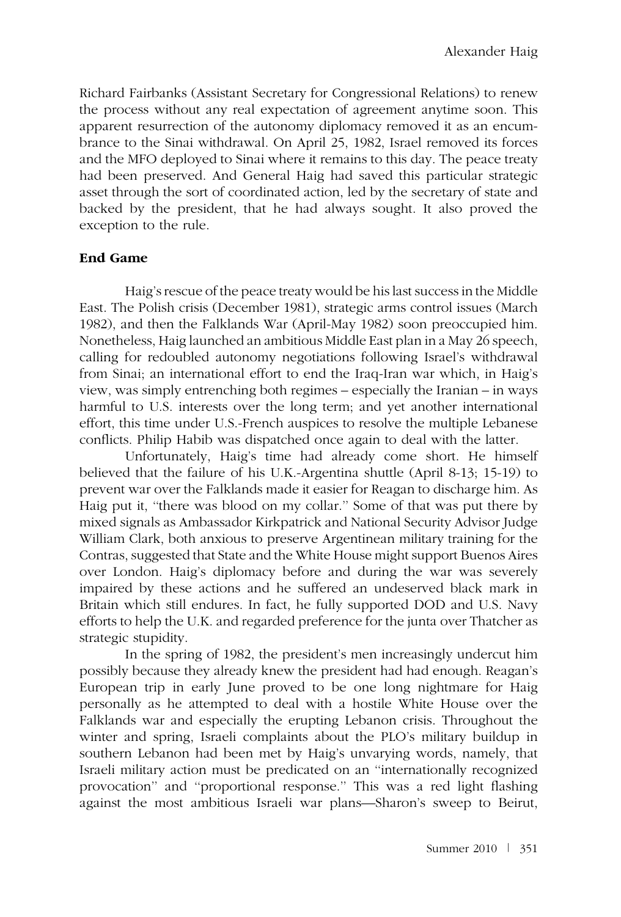Richard Fairbanks (Assistant Secretary for Congressional Relations) to renew the process without any real expectation of agreement anytime soon. This apparent resurrection of the autonomy diplomacy removed it as an encumbrance to the Sinai withdrawal. On April 25, 1982, Israel removed its forces and the MFO deployed to Sinai where it remains to this day. The peace treaty had been preserved. And General Haig had saved this particular strategic asset through the sort of coordinated action, led by the secretary of state and backed by the president, that he had always sought. It also proved the exception to the rule.

#### End Game

Haig's rescue of the peace treaty would be his last success in the Middle East. The Polish crisis (December 1981), strategic arms control issues (March 1982), and then the Falklands War (April-May 1982) soon preoccupied him. Nonetheless, Haig launched an ambitious Middle East plan in a May 26 speech, calling for redoubled autonomy negotiations following Israel's withdrawal from Sinai; an international effort to end the Iraq-Iran war which, in Haig's view, was simply entrenching both regimes – especially the Iranian – in ways harmful to U.S. interests over the long term; and yet another international effort, this time under U.S.-French auspices to resolve the multiple Lebanese conflicts. Philip Habib was dispatched once again to deal with the latter.

Unfortunately, Haig's time had already come short. He himself believed that the failure of his U.K.-Argentina shuttle (April 8-13; 15-19) to prevent war over the Falklands made it easier for Reagan to discharge him. As Haig put it, ''there was blood on my collar.'' Some of that was put there by mixed signals as Ambassador Kirkpatrick and National Security Advisor Judge William Clark, both anxious to preserve Argentinean military training for the Contras, suggested that State and the White House might support Buenos Aires over London. Haig's diplomacy before and during the war was severely impaired by these actions and he suffered an undeserved black mark in Britain which still endures. In fact, he fully supported DOD and U.S. Navy efforts to help the U.K. and regarded preference for the junta over Thatcher as strategic stupidity.

In the spring of 1982, the president's men increasingly undercut him possibly because they already knew the president had had enough. Reagan's European trip in early June proved to be one long nightmare for Haig personally as he attempted to deal with a hostile White House over the Falklands war and especially the erupting Lebanon crisis. Throughout the winter and spring, Israeli complaints about the PLO's military buildup in southern Lebanon had been met by Haig's unvarying words, namely, that Israeli military action must be predicated on an ''internationally recognized provocation'' and ''proportional response.'' This was a red light flashing against the most ambitious Israeli war plans—Sharon's sweep to Beirut,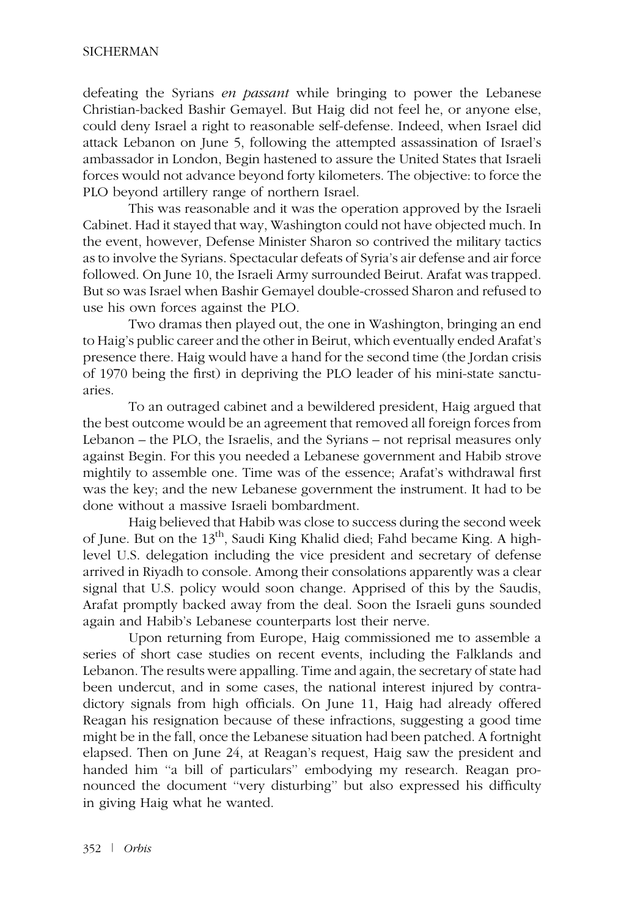defeating the Syrians en passant while bringing to power the Lebanese Christian-backed Bashir Gemayel. But Haig did not feel he, or anyone else, could deny Israel a right to reasonable self-defense. Indeed, when Israel did attack Lebanon on June 5, following the attempted assassination of Israel's ambassador in London, Begin hastened to assure the United States that Israeli forces would not advance beyond forty kilometers. The objective: to force the PLO beyond artillery range of northern Israel.

This was reasonable and it was the operation approved by the Israeli Cabinet. Had it stayed that way, Washington could not have objected much. In the event, however, Defense Minister Sharon so contrived the military tactics as to involve the Syrians. Spectacular defeats of Syria's air defense and air force followed. On June 10, the Israeli Army surrounded Beirut. Arafat was trapped. But so was Israel when Bashir Gemayel double-crossed Sharon and refused to use his own forces against the PLO.

Two dramas then played out, the one in Washington, bringing an end to Haig's public career and the other in Beirut, which eventually ended Arafat's presence there. Haig would have a hand for the second time (the Jordan crisis of 1970 being the first) in depriving the PLO leader of his mini-state sanctuaries.

To an outraged cabinet and a bewildered president, Haig argued that the best outcome would be an agreement that removed all foreign forces from Lebanon – the PLO, the Israelis, and the Syrians – not reprisal measures only against Begin. For this you needed a Lebanese government and Habib strove mightily to assemble one. Time was of the essence; Arafat's withdrawal first was the key; and the new Lebanese government the instrument. It had to be done without a massive Israeli bombardment.

Haig believed that Habib was close to success during the second week of June. But on the 13<sup>th</sup>, Saudi King Khalid died; Fahd became King. A highlevel U.S. delegation including the vice president and secretary of defense arrived in Riyadh to console. Among their consolations apparently was a clear signal that U.S. policy would soon change. Apprised of this by the Saudis, Arafat promptly backed away from the deal. Soon the Israeli guns sounded again and Habib's Lebanese counterparts lost their nerve.

Upon returning from Europe, Haig commissioned me to assemble a series of short case studies on recent events, including the Falklands and Lebanon. The results were appalling. Time and again, the secretary of state had been undercut, and in some cases, the national interest injured by contradictory signals from high officials. On June 11, Haig had already offered Reagan his resignation because of these infractions, suggesting a good time might be in the fall, once the Lebanese situation had been patched. A fortnight elapsed. Then on June 24, at Reagan's request, Haig saw the president and handed him ''a bill of particulars'' embodying my research. Reagan pronounced the document ''very disturbing'' but also expressed his difficulty in giving Haig what he wanted.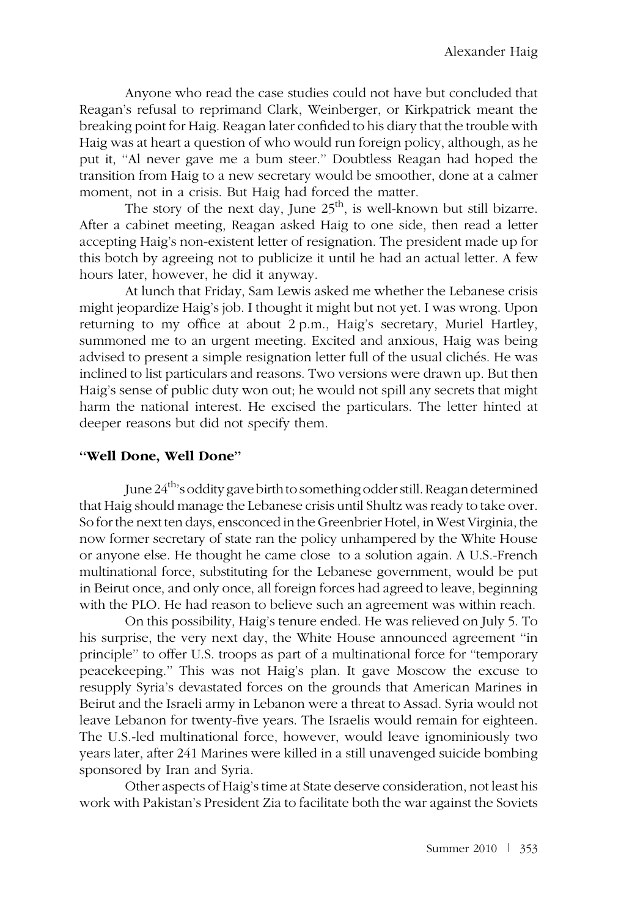Anyone who read the case studies could not have but concluded that Reagan's refusal to reprimand Clark, Weinberger, or Kirkpatrick meant the breaking point for Haig. Reagan later confided to his diary that the trouble with Haig was at heart a question of who would run foreign policy, although, as he put it, ''Al never gave me a bum steer.'' Doubtless Reagan had hoped the transition from Haig to a new secretary would be smoother, done at a calmer moment, not in a crisis. But Haig had forced the matter.

The story of the next day, June  $25<sup>th</sup>$ , is well-known but still bizarre. After a cabinet meeting, Reagan asked Haig to one side, then read a letter accepting Haig's non-existent letter of resignation. The president made up for this botch by agreeing not to publicize it until he had an actual letter. A few hours later, however, he did it anyway.

At lunch that Friday, Sam Lewis asked me whether the Lebanese crisis might jeopardize Haig's job. I thought it might but not yet. I was wrong. Upon returning to my office at about 2 p.m., Haig's secretary, Muriel Hartley, summoned me to an urgent meeting. Excited and anxious, Haig was being advised to present a simple resignation letter full of the usual cliches. He was inclined to list particulars and reasons. Two versions were drawn up. But then Haig's sense of public duty won out; he would not spill any secrets that might harm the national interest. He excised the particulars. The letter hinted at deeper reasons but did not specify them.

#### ''Well Done, Well Done''

June 24<sup>th</sup>'s oddity gave birth to something odder still. Reagan determined that Haig should manage the Lebanese crisis until Shultz was ready to take over. So for the next ten days, ensconced in the Greenbrier Hotel, in West Virginia, the now former secretary of state ran the policy unhampered by the White House or anyone else. He thought he came close to a solution again. A U.S.-French multinational force, substituting for the Lebanese government, would be put in Beirut once, and only once, all foreign forces had agreed to leave, beginning with the PLO. He had reason to believe such an agreement was within reach.

On this possibility, Haig's tenure ended. He was relieved on July 5. To his surprise, the very next day, the White House announced agreement ''in principle'' to offer U.S. troops as part of a multinational force for ''temporary peacekeeping.'' This was not Haig's plan. It gave Moscow the excuse to resupply Syria's devastated forces on the grounds that American Marines in Beirut and the Israeli army in Lebanon were a threat to Assad. Syria would not leave Lebanon for twenty-five years. The Israelis would remain for eighteen. The U.S.-led multinational force, however, would leave ignominiously two years later, after 241 Marines were killed in a still unavenged suicide bombing sponsored by Iran and Syria.

Other aspects of Haig's time at State deserve consideration, not least his work with Pakistan's President Zia to facilitate both the war against the Soviets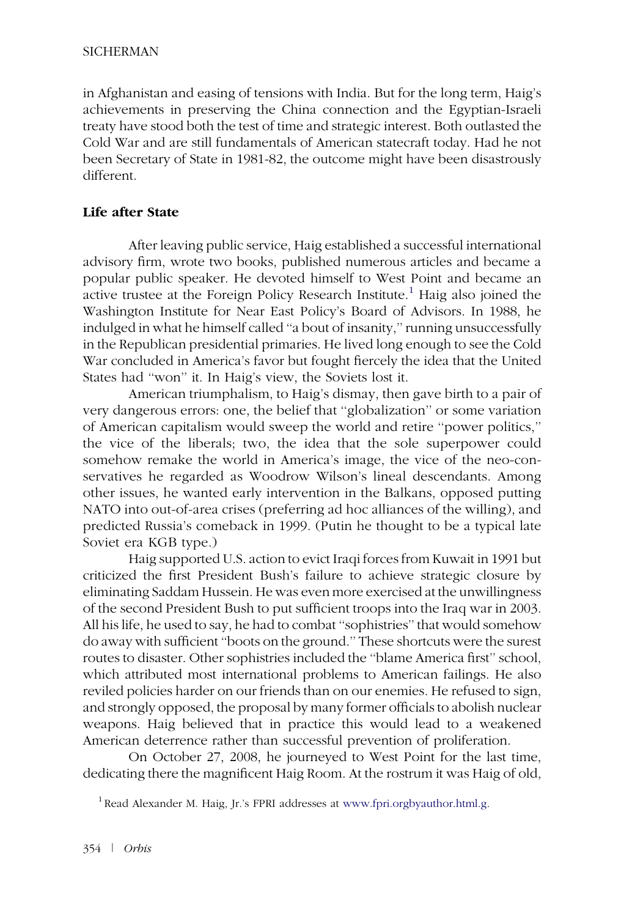in Afghanistan and easing of tensions with India. But for the long term, Haig's achievements in preserving the China connection and the Egyptian-Israeli treaty have stood both the test of time and strategic interest. Both outlasted the Cold War and are still fundamentals of American statecraft today. Had he not been Secretary of State in 1981-82, the outcome might have been disastrously different.

# Life after State

After leaving public service, Haig established a successful international advisory firm, wrote two books, published numerous articles and became a popular public speaker. He devoted himself to West Point and became an active trustee at the Foreign Policy Research Institute.<sup>1</sup> Haig also joined the Washington Institute for Near East Policy's Board of Advisors. In 1988, he indulged in what he himself called ''a bout of insanity,'' running unsuccessfully in the Republican presidential primaries. He lived long enough to see the Cold War concluded in America's favor but fought fiercely the idea that the United States had ''won'' it. In Haig's view, the Soviets lost it.

American triumphalism, to Haig's dismay, then gave birth to a pair of very dangerous errors: one, the belief that ''globalization'' or some variation of American capitalism would sweep the world and retire ''power politics,'' the vice of the liberals; two, the idea that the sole superpower could somehow remake the world in America's image, the vice of the neo-conservatives he regarded as Woodrow Wilson's lineal descendants. Among other issues, he wanted early intervention in the Balkans, opposed putting NATO into out-of-area crises (preferring ad hoc alliances of the willing), and predicted Russia's comeback in 1999. (Putin he thought to be a typical late Soviet era KGB type.)

Haig supported U.S. action to evict Iraqi forces from Kuwait in 1991 but criticized the first President Bush's failure to achieve strategic closure by eliminating Saddam Hussein. He was even more exercised at the unwillingness of the second President Bush to put sufficient troops into the Iraq war in 2003. All his life, he used to say, he had to combat ''sophistries'' that would somehow do away with sufficient ''boots on the ground.'' These shortcuts were the surest routes to disaster. Other sophistries included the ''blame America first'' school, which attributed most international problems to American failings. He also reviled policies harder on our friends than on our enemies. He refused to sign, and strongly opposed, the proposal by many former officials to abolish nuclear weapons. Haig believed that in practice this would lead to a weakened American deterrence rather than successful prevention of proliferation.

On October 27, 2008, he journeyed to West Point for the last time, dedicating there the magnificent Haig Room. At the rostrum it was Haig of old,

<sup>&</sup>lt;sup>1</sup> Read Alexander M. Haig, Jr.'s FPRI addresses at [www.fpri.orgbyauthor.html.g](http://www.fpri.org/news/2010/20100221.haig.html).